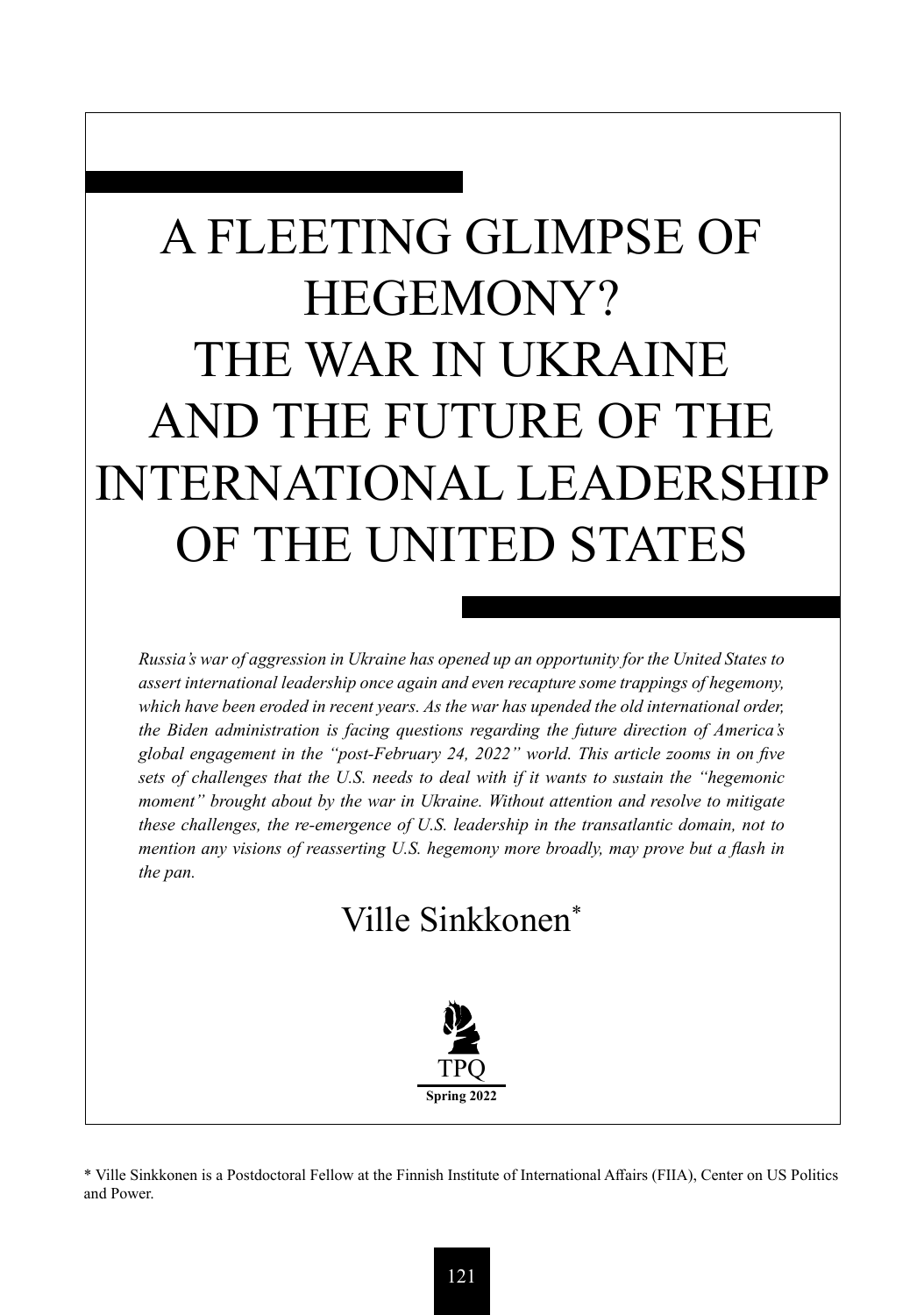# A FLEETING GLIMPSE OF HEGEMONY? THE WAR IN UKRAINE AND THE FUTURE OF THE INTERNATIONAL LEADERSHIP OF THE UNITED STATES

*Russia's war of aggression in Ukraine has opened up an opportunity for the United States to assert international leadership once again and even recapture some trappings of hegemony,*  which have been eroded in recent years. As the war has upended the old international order, *the Biden administration is facing questions regarding the future direction of America's global engagement in the "post-February 24, 2022" world. This article zooms in on five sets of challenges that the U.S. needs to deal with if it wants to sustain the "hegemonic moment" brought about by the war in Ukraine. Without attention and resolve to mitigate these challenges, the re-emergence of U.S. leadership in the transatlantic domain, not to mention any visions of reasserting U.S. hegemony more broadly, may prove but a flash in the pan.*

## Ville Sinkkonen\*



\* Ville Sinkkonen is a Postdoctoral Fellow at the Finnish Institute of International Affairs (FIIA), Center on US Politics and Power.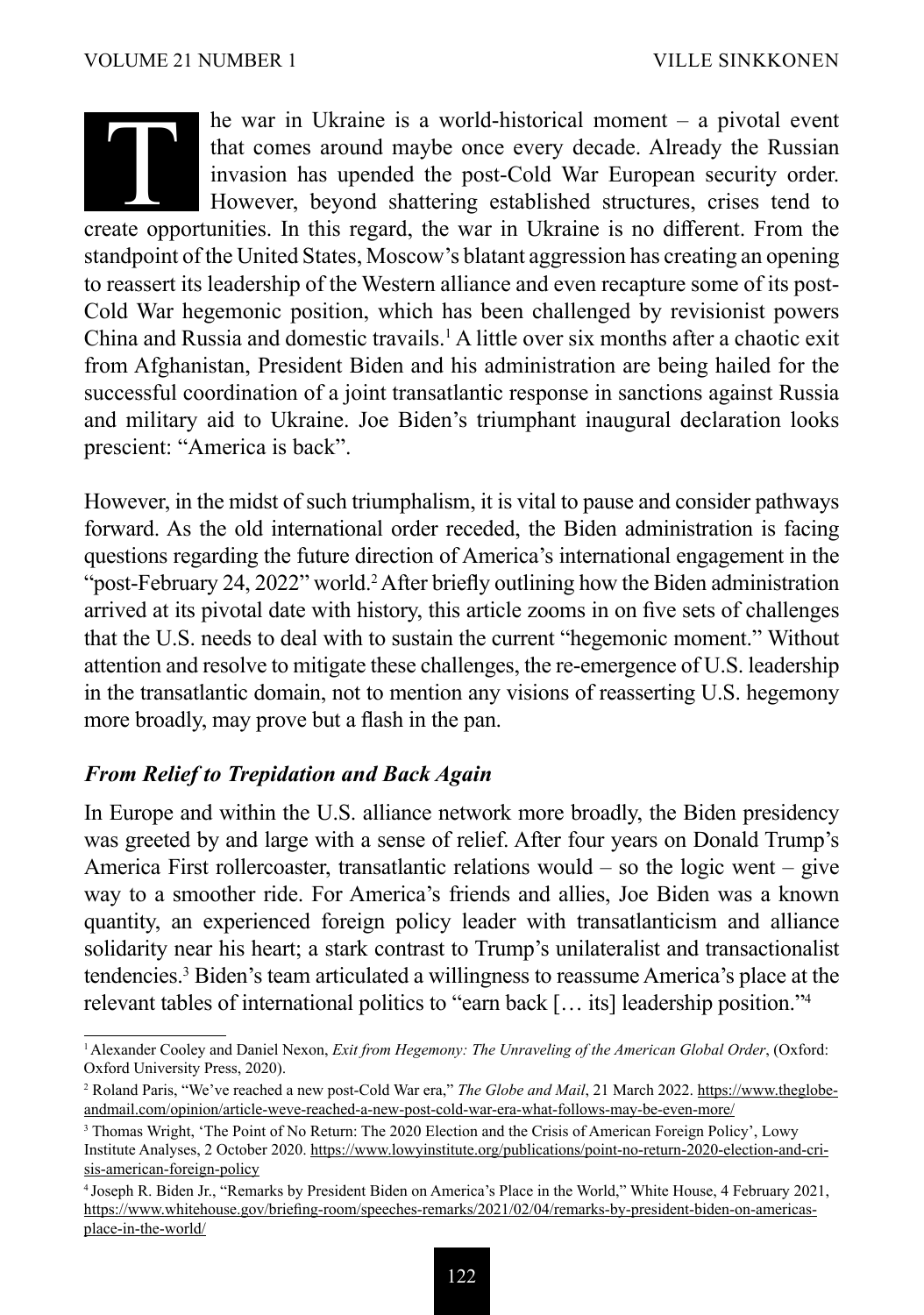he war in Ukraine is a world-historical moment – a pivotal event that comes around maybe once every decade. Already the Russian invasion has upended the post-Cold War European security order. However, beyond shattering established structures, crises tend to The war in Ukraine is a world-historical moment – a pivotal event<br>that comes around maybe once every decade. Already the Russian<br>invasion has upended the post-Cold War European security order.<br>However, beyond shattering es standpoint of the United States, Moscow's blatant aggression has creating an opening to reassert its leadership of the Western alliance and even recapture some of its post-Cold War hegemonic position, which has been challenged by revisionist powers China and Russia and domestic travails.<sup>1</sup> A little over six months after a chaotic exit from Afghanistan, President Biden and his administration are being hailed for the successful coordination of a joint transatlantic response in sanctions against Russia and military aid to Ukraine. Joe Biden's triumphant inaugural declaration looks prescient: "America is back".

However, in the midst of such triumphalism, it is vital to pause and consider pathways forward. As the old international order receded, the Biden administration is facing questions regarding the future direction of America's international engagement in the "post-February 24, 2022" world.<sup>2</sup> After briefly outlining how the Biden administration arrived at its pivotal date with history, this article zooms in on five sets of challenges that the U.S. needs to deal with to sustain the current "hegemonic moment." Without attention and resolve to mitigate these challenges, the re-emergence of U.S. leadership in the transatlantic domain, not to mention any visions of reasserting U.S. hegemony more broadly, may prove but a flash in the pan.

#### *From Relief to Trepidation and Back Again*

In Europe and within the U.S. alliance network more broadly, the Biden presidency was greeted by and large with a sense of relief. After four years on Donald Trump's America First rollercoaster, transatlantic relations would  $-$  so the logic went  $-$  give way to a smoother ride. For America's friends and allies, Joe Biden was a known quantity, an experienced foreign policy leader with transatlanticism and alliance solidarity near his heart; a stark contrast to Trump's unilateralist and transactionalist tendencies.3 Biden's team articulated a willingness to reassume America's place at the relevant tables of international politics to "earn back [… its] leadership position."4

<sup>1</sup>Alexander Cooley and Daniel Nexon, *Exit from Hegemony: The Unraveling of the American Global Order*, (Oxford: Oxford University Press, 2020).

<sup>&</sup>lt;sup>2</sup> Roland Paris, "We've reached a new post-Cold War era," *The Globe and Mail*, 21 March 2022. [https://www.theglobe](about:blank)[andmail.com/opinion/article-weve-reached-a-new-post-cold-war-era-what-follows-may-be-even-more/](about:blank)

<sup>&</sup>lt;sup>3</sup> Thomas Wright, 'The Point of No Return: The 2020 Election and the Crisis of American Foreign Policy', Lowy Institute Analyses, 2 October 2020. [https://www.lowyinstitute.org/publications/point-no-return-2020-election-and-cri](about:blank)[sis-american-foreign-policy](about:blank)

<sup>4</sup> Joseph R. Biden Jr., "Remarks by President Biden on America's Place in the World," White House, 4 February 2021, [https://www.whitehouse.gov/briefing-room/speeches-remarks/2021/02/04/remarks-by-president-biden-on-americas](about:blank)[place-in-the-world/](about:blank)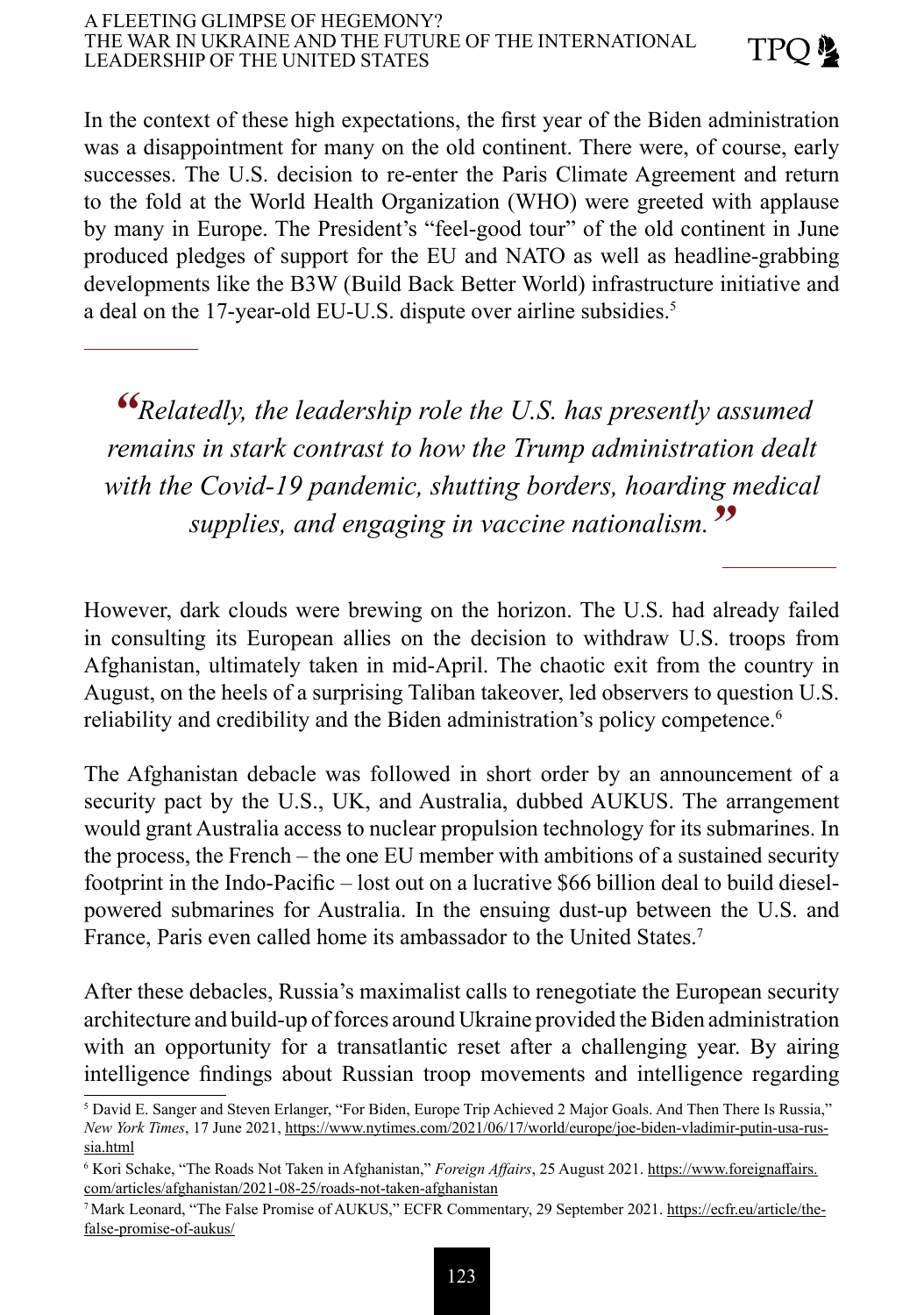#### A FLEETING GLIMPSE OF HEGEMONY? THE WAR IN UKRAINE AND THE FUTURE OF THE INTERNATIONAL LEADERSHIP OF THE UNITED STATES

In the context of these high expectations, the first year of the Biden administration was a disappointment for many on the old continent. There were, of course, early successes. The U.S. decision to re-enter the Paris Climate Agreement and return to the fold at the World Health Organization (WHO) were greeted with applause by many in Europe. The President's "feel-good tour" of the old continent in June produced pledges of support for the EU and NATO as well as headline-grabbing developments like the B3W (Build Back Better World) infrastructure initiative and a deal on the 17-year-old EU-U.S. dispute over airline subsidies.<sup>5</sup>

*"Relatedly, the leadership role the U.S. has presently assumed remains in stark contrast to how the Trump administration dealt with the Covid-19 pandemic, shutting borders, hoarding medical supplies, and engaging in vaccine nationalism."*

However, dark clouds were brewing on the horizon. The U.S. had already failed in consulting its European allies on the decision to withdraw U.S. troops from Afghanistan, ultimately taken in mid-April. The chaotic exit from the country in August, on the heels of a surprising Taliban takeover, led observers to question U.S. reliability and credibility and the Biden administration's policy competence.<sup>6</sup>

The Afghanistan debacle was followed in short order by an announcement of a security pact by the U.S., UK, and Australia, dubbed AUKUS. The arrangement would grant Australia access to nuclear propulsion technology for its submarines. In the process, the French – the one EU member with ambitions of a sustained security footprint in the Indo-Pacific – lost out on a lucrative \$66 billion deal to build dieselpowered submarines for Australia. In the ensuing dust-up between the U.S. and France, Paris even called home its ambassador to the United States.<sup>7</sup>

After these debacles, Russia's maximalist calls to renegotiate the European security architecture and build-up of forces around Ukraine provided the Biden administration with an opportunity for a transatlantic reset after a challenging year. By airing intelligence findings about Russian troop movements and intelligence regarding

<sup>5</sup> David E. Sanger and Steven Erlanger, "For Biden, Europe Trip Achieved 2 Major Goals. And Then There Is Russia," *New York Times*, 17 June 2021, [https://www.nytimes.com/2021/06/17/world/europe/joe-biden-vladimir-putin-usa-rus](about:blank)[sia.html](about:blank)

<sup>6</sup> Kori Schake, "The Roads Not Taken in Afghanistan," *Foreign Affairs*, 25 August 2021. [https://www.foreignaffairs.](about:blank) [com/articles/afghanistan/2021-08-25/roads-not-taken-afghanistan](about:blank)

<sup>7</sup> Mark Leonard, "The False Promise of AUKUS," ECFR Commentary, 29 September 2021. [https://ecfr.eu/article/the](about:blank)[false-promise-of-aukus/](about:blank)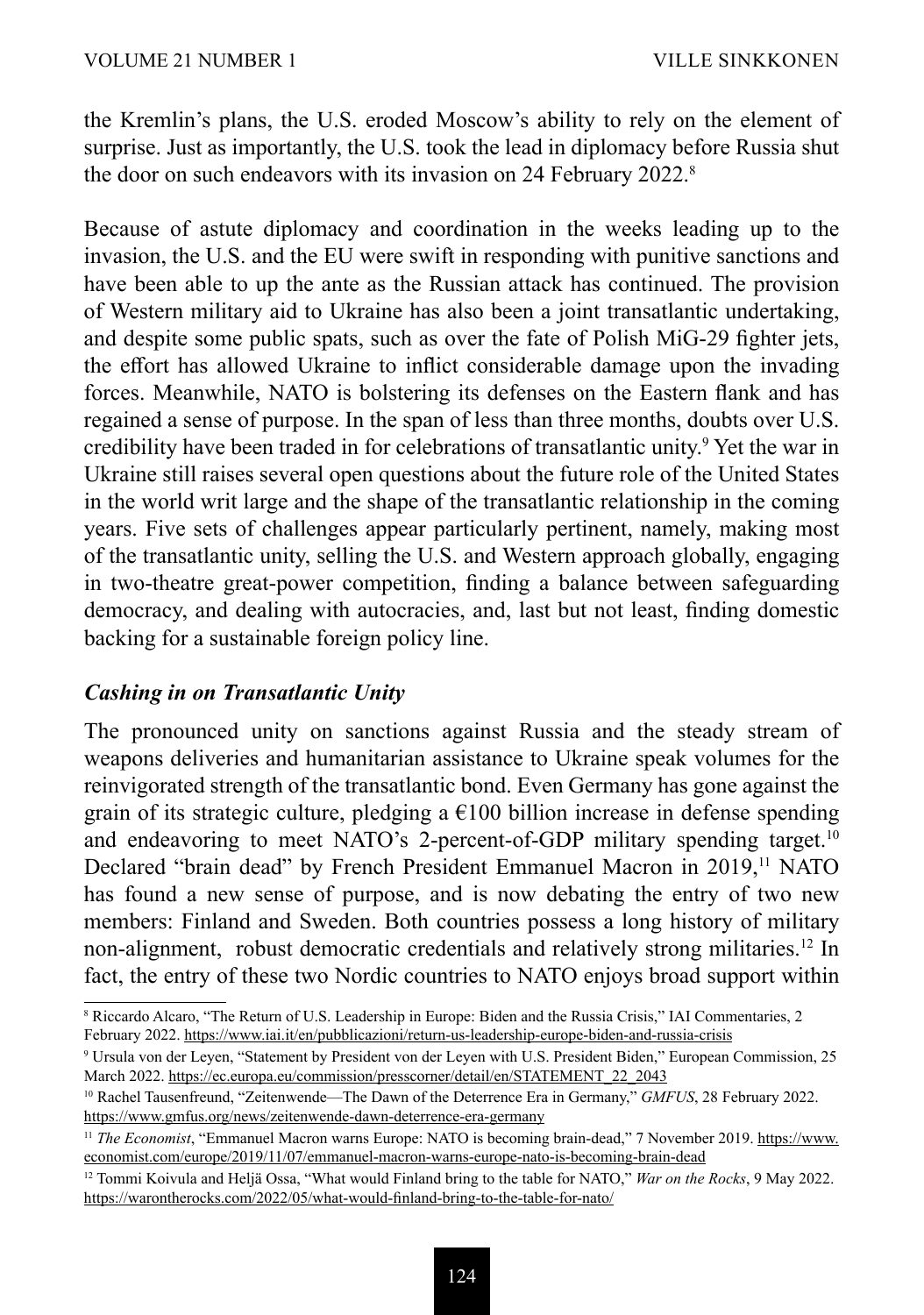the Kremlin's plans, the U.S. eroded Moscow's ability to rely on the element of surprise. Just as importantly, the U.S. took the lead in diplomacy before Russia shut the door on such endeavors with its invasion on 24 February 2022.<sup>8</sup>

Because of astute diplomacy and coordination in the weeks leading up to the invasion, the U.S. and the EU were swift in responding with punitive sanctions and have been able to up the ante as the Russian attack has continued. The provision of Western military aid to Ukraine has also been a joint transatlantic undertaking, and despite some public spats, such as over the fate of Polish MiG-29 fighter jets, the effort has allowed Ukraine to inflict considerable damage upon the invading forces. Meanwhile, NATO is bolstering its defenses on the Eastern flank and has regained a sense of purpose. In the span of less than three months, doubts over U.S. credibility have been traded in for celebrations of transatlantic unity.<sup>9</sup> Yet the war in Ukraine still raises several open questions about the future role of the United States in the world writ large and the shape of the transatlantic relationship in the coming years. Five sets of challenges appear particularly pertinent, namely, making most of the transatlantic unity, selling the U.S. and Western approach globally, engaging in two-theatre great-power competition, finding a balance between safeguarding democracy, and dealing with autocracies, and, last but not least, finding domestic backing for a sustainable foreign policy line.

#### *Cashing in on Transatlantic Unity*

The pronounced unity on sanctions against Russia and the steady stream of weapons deliveries and humanitarian assistance to Ukraine speak volumes for the reinvigorated strength of the transatlantic bond. Even Germany has gone against the grain of its strategic culture, pledging a  $E100$  billion increase in defense spending and endeavoring to meet NATO's 2-percent-of-GDP military spending target.<sup>10</sup> Declared "brain dead" by French President Emmanuel Macron in 2019,<sup>11</sup> NATO has found a new sense of purpose, and is now debating the entry of two new members: Finland and Sweden. Both countries possess a long history of military non-alignment, robust democratic credentials and relatively strong militaries.12 In fact, the entry of these two Nordic countries to NATO enjoys broad support within

<sup>8</sup> Riccardo Alcaro, "The Return of U.S. Leadership in Europe: Biden and the Russia Crisis," IAI Commentaries, 2 February 2022. [https://www.iai.it/en/pubblicazioni/return-us-leadership-europe-biden-and-russia-crisis](about:blank)

<sup>9</sup> Ursula von der Leyen, "Statement by President von der Leyen with U.S. President Biden," European Commission, 25 March 2022. [https://ec.europa.eu/commission/presscorner/detail/en/STATEMENT\\_22\\_2043](about:blank)

<sup>10</sup> Rachel Tausenfreund, "Zeitenwende—The Dawn of the Deterrence Era in Germany," *GMFUS*, 28 February 2022. [https://www.gmfus.org/news/zeitenwende-dawn-deterrence-era-germany](about:blank)

<sup>11</sup> *The Economist*, "Emmanuel Macron warns Europe: NATO is becoming brain-dead," 7 November 2019. [https://www.](about:blank) [economist.com/europe/2019/11/07/emmanuel-macron-warns-europe-nato-is-becoming-brain-dead](about:blank)

<sup>12</sup> Tommi Koivula and Heljä Ossa, "What would Finland bring to the table for NATO," *War on the Rocks*, 9 May 2022. [https://warontherocks.com/2022/05/what-would-finland-bring-to-the-table-for-nato/](about:blank)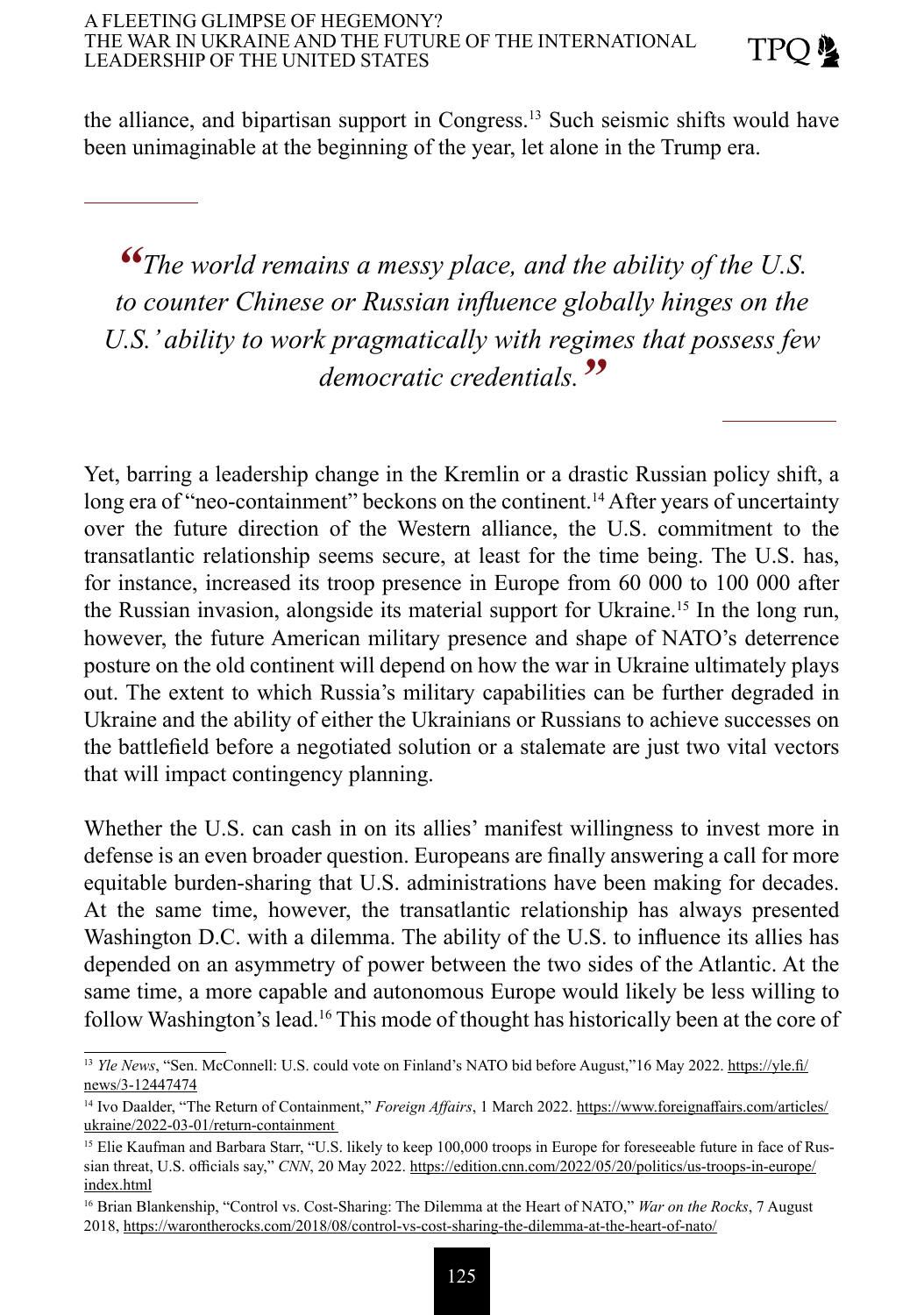the alliance, and bipartisan support in Congress.<sup>13</sup> Such seismic shifts would have been unimaginable at the beginning of the year, let alone in the Trump era.

*"The world remains a messy place, and the ability of the U.S. to counter Chinese or Russian influence globally hinges on the U.S.' ability to work pragmatically with regimes that possess few democratic credentials."*

Yet, barring a leadership change in the Kremlin or a drastic Russian policy shift, a long era of "neo-containment" beckons on the continent.<sup>14</sup> After years of uncertainty over the future direction of the Western alliance, the U.S. commitment to the transatlantic relationship seems secure, at least for the time being. The U.S. has, for instance, increased its troop presence in Europe from 60 000 to 100 000 after the Russian invasion, alongside its material support for Ukraine.<sup>15</sup> In the long run, however, the future American military presence and shape of NATO's deterrence posture on the old continent will depend on how the war in Ukraine ultimately plays out. The extent to which Russia's military capabilities can be further degraded in Ukraine and the ability of either the Ukrainians or Russians to achieve successes on the battlefield before a negotiated solution or a stalemate are just two vital vectors that will impact contingency planning.

Whether the U.S. can cash in on its allies' manifest willingness to invest more in defense is an even broader question. Europeans are finally answering a call for more equitable burden-sharing that U.S. administrations have been making for decades. At the same time, however, the transatlantic relationship has always presented Washington D.C. with a dilemma. The ability of the U.S. to influence its allies has depended on an asymmetry of power between the two sides of the Atlantic. At the same time, a more capable and autonomous Europe would likely be less willing to follow Washington's lead.<sup>16</sup> This mode of thought has historically been at the core of

<sup>&</sup>lt;sup>13</sup> *Yle News*, "Sen. McConnell: U.S. could vote on Finland's NATO bid before August,"16 May 2022. [https://yle.fi/](about:blank) [news/3-12447474](about:blank)

<sup>14</sup> Ivo Daalder, "The Return of Containment," *Foreign Affairs*, 1 March 2022. [https://www.foreignaffairs.com/articles/](about:blank) [ukraine/2022-03-01/return-containment](about:blank)

<sup>&</sup>lt;sup>15</sup> Elie Kaufman and Barbara Starr, "U.S. likely to keep 100,000 troops in Europe for foreseeable future in face of Russian threat, U.S. officials say," *CNN*, 20 May 2022. [https://edition.cnn.com/2022/05/20/politics/us-troops-in-europe/](about:blank) [index.html](about:blank)

<sup>16</sup> Brian Blankenship, "Control vs. Cost-Sharing: The Dilemma at the Heart of NATO," *War on the Rocks*, 7 August 2018, [https://warontherocks.com/2018/08/control-vs-cost-sharing-the-dilemma-at-the-heart-of-nato/](about:blank)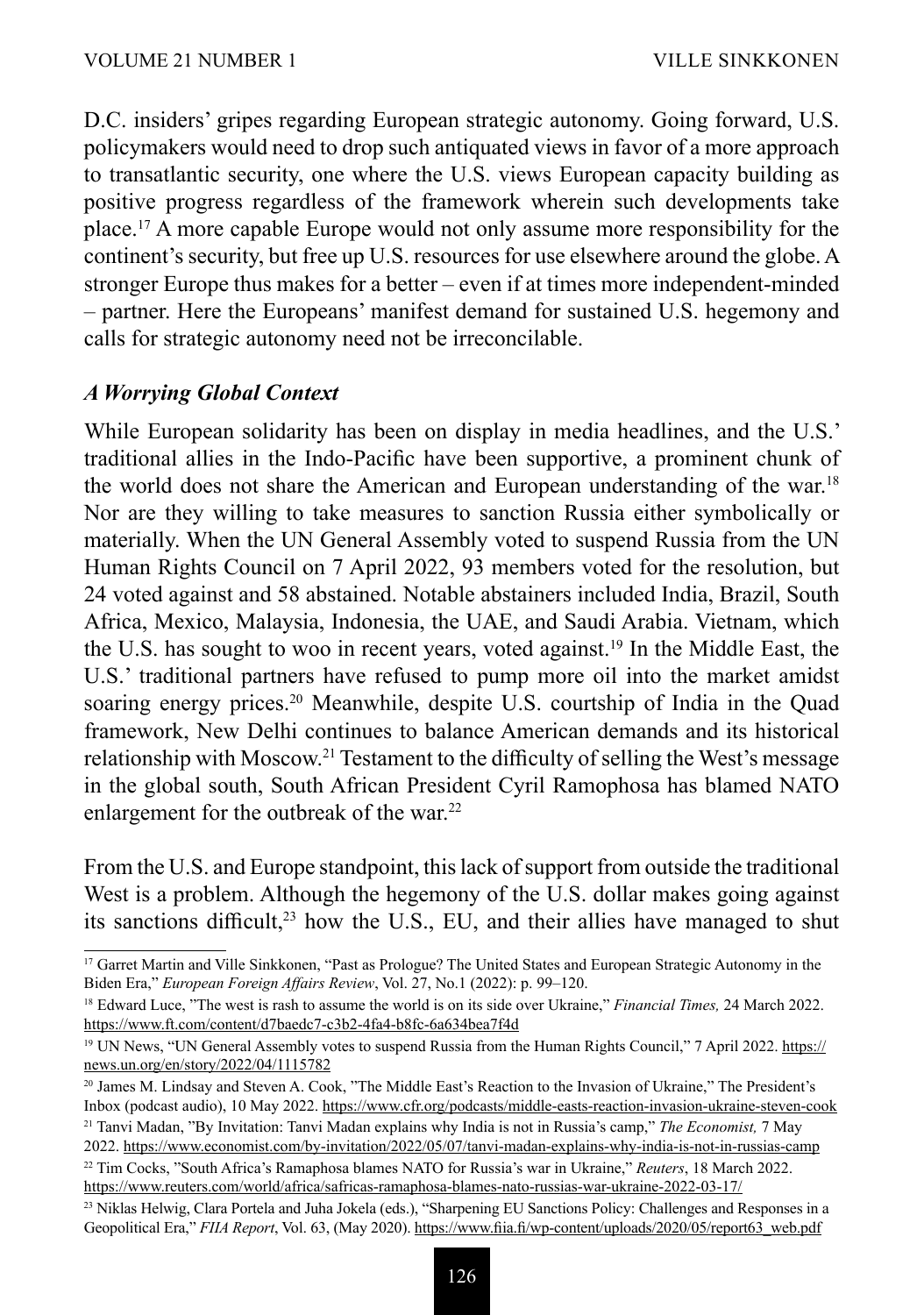D.C. insiders' gripes regarding European strategic autonomy. Going forward, U.S. policymakers would need to drop such antiquated views in favor of a more approach to transatlantic security, one where the U.S. views European capacity building as positive progress regardless of the framework wherein such developments take place.<sup>17</sup> A more capable Europe would not only assume more responsibility for the continent's security, but free up U.S. resources for use elsewhere around the globe. A stronger Europe thus makes for a better – even if at times more independent-minded – partner. Here the Europeans' manifest demand for sustained U.S. hegemony and calls for strategic autonomy need not be irreconcilable.

#### *A Worrying Global Context*

While European solidarity has been on display in media headlines, and the U.S.' traditional allies in the Indo-Pacific have been supportive, a prominent chunk of the world does not share the American and European understanding of the war.18 Nor are they willing to take measures to sanction Russia either symbolically or materially. When the UN General Assembly voted to suspend Russia from the UN Human Rights Council on 7 April 2022, 93 members voted for the resolution, but 24 voted against and 58 abstained. Notable abstainers included India, Brazil, South Africa, Mexico, Malaysia, Indonesia, the UAE, and Saudi Arabia. Vietnam, which the U.S. has sought to woo in recent years, voted against.19 In the Middle East, the U.S.' traditional partners have refused to pump more oil into the market amidst soaring energy prices.<sup>20</sup> Meanwhile, despite U.S. courtship of India in the Quad framework, New Delhi continues to balance American demands and its historical relationship with Moscow.<sup>21</sup> Testament to the difficulty of selling the West's message in the global south, South African President Cyril Ramophosa has blamed NATO enlargement for the outbreak of the war.<sup>22</sup>

From the U.S. and Europe standpoint, this lack of support from outside the traditional West is a problem. Although the hegemony of the U.S. dollar makes going against its sanctions difficult,<sup>23</sup> how the U.S., EU, and their allies have managed to shut

<sup>&</sup>lt;sup>17</sup> Garret Martin and Ville Sinkkonen, "Past as Prologue? The United States and European Strategic Autonomy in the Biden Era," *European Foreign Affairs Review*, Vol. 27, No.1 (2022): p. 99–120.

<sup>18</sup> Edward Luce, "The west is rash to assume the world is on its side over Ukraine," *Financial Times,* 24 March 2022. [https://www.ft.com/content/d7baedc7-c3b2-4fa4-b8fc-6a634bea7f4d](about:blank)

<sup>&</sup>lt;sup>19</sup> UN News, "UN General Assembly votes to suspend Russia from the Human Rights Council," 7 April 2022. [https://](about:blank) [news.un.org/en/story/2022/04/1115782](about:blank)

<sup>&</sup>lt;sup>20</sup> James M. Lindsay and Steven A. Cook, "The Middle East's Reaction to the Invasion of Ukraine," The President's Inbox (podcast audio), 10 May 2022. [https://www.cfr.org/podcasts/middle-easts-reaction-invasion-ukraine-steven-cook](about:blank)

<sup>21</sup> Tanvi Madan, "By Invitation: Tanvi Madan explains why India is not in Russia's camp," *The Economist,* 7 May 2022. [https://www.economist.com/by-invitation/2022/05/07/tanvi-madan-explains-why-india-is-not-in-russias-camp](about:blank)

<sup>22</sup> Tim Cocks, "South Africa's Ramaphosa blames NATO for Russia's war in Ukraine," *Reuters*, 18 March 2022. [https://www.reuters.com/world/africa/safricas-ramaphosa-blames-nato-russias-war-ukraine-2022-03-17/](about:blank)

<sup>23</sup> Niklas Helwig, Clara Portela and Juha Jokela (eds.), "Sharpening EU Sanctions Policy: Challenges and Responses in a Geopolitical Era," *FIIA Report*, Vol. 63, (May 2020). [https://www.fiia.fi/wp-content/uploads/2020/05/report63\\_web.pdf](about:blank)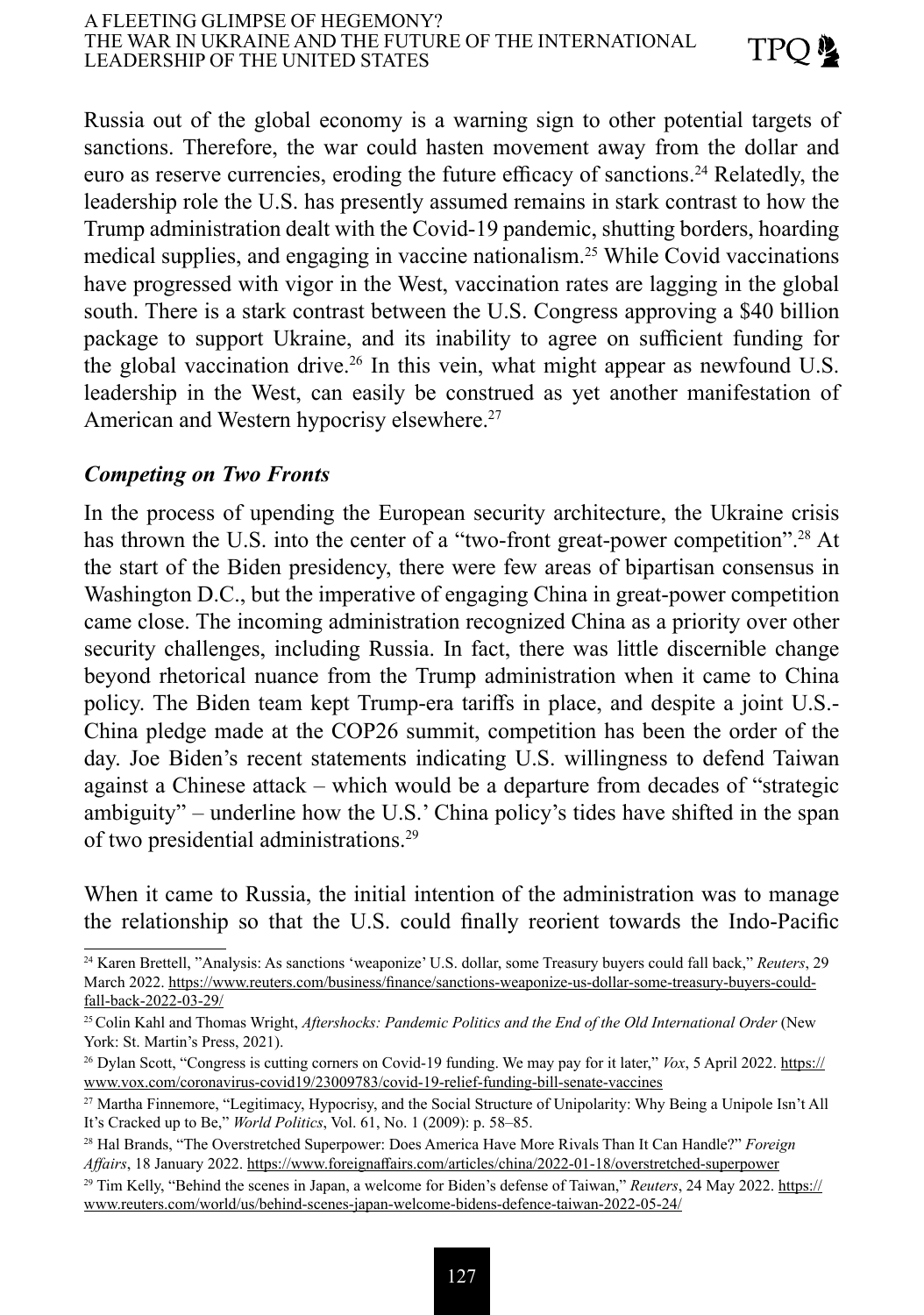Russia out of the global economy is a warning sign to other potential targets of sanctions. Therefore, the war could hasten movement away from the dollar and euro as reserve currencies, eroding the future efficacy of sanctions.<sup>24</sup> Relatedly, the leadership role the U.S. has presently assumed remains in stark contrast to how the Trump administration dealt with the Covid-19 pandemic, shutting borders, hoarding medical supplies, and engaging in vaccine nationalism.<sup>25</sup> While Covid vaccinations have progressed with vigor in the West, vaccination rates are lagging in the global south. There is a stark contrast between the U.S. Congress approving a \$40 billion package to support Ukraine, and its inability to agree on sufficient funding for the global vaccination drive.<sup>26</sup> In this vein, what might appear as newfound U.S. leadership in the West, can easily be construed as yet another manifestation of American and Western hypocrisy elsewhere.<sup>27</sup>

#### *Competing on Two Fronts*

In the process of upending the European security architecture, the Ukraine crisis has thrown the U.S. into the center of a "two-front great-power competition".<sup>28</sup> At the start of the Biden presidency, there were few areas of bipartisan consensus in Washington D.C., but the imperative of engaging China in great-power competition came close. The incoming administration recognized China as a priority over other security challenges, including Russia. In fact, there was little discernible change beyond rhetorical nuance from the Trump administration when it came to China policy. The Biden team kept Trump-era tariffs in place, and despite a joint U.S.- China pledge made at the COP26 summit, competition has been the order of the day. Joe Biden's recent statements indicating U.S. willingness to defend Taiwan against a Chinese attack – which would be a departure from decades of "strategic ambiguity" – underline how the U.S.' China policy's tides have shifted in the span of two presidential administrations.29

When it came to Russia, the initial intention of the administration was to manage the relationship so that the U.S. could finally reorient towards the Indo-Pacific

<sup>24</sup> Karen Brettell, "Analysis: As sanctions 'weaponize' U.S. dollar, some Treasury buyers could fall back," *Reuters*, 29 March 2022. [https://www.reuters.com/business/finance/sanctions-weaponize-us-dollar-some-treasury-buyers-could](about:blank)[fall-back-2022-03-29/](about:blank)

<sup>25</sup>Colin Kahl and Thomas Wright, *Aftershocks: Pandemic Politics and the End of the Old International Order* (New York: St. Martin's Press, 2021).

<sup>26</sup> Dylan Scott, "Congress is cutting corners on Covid-19 funding. We may pay for it later," *Vox*, 5 April 2022. [https://](about:blank) [www.vox.com/coronavirus-covid19/23009783/covid-19-relief-funding-bill-senate-vaccines](about:blank)

<sup>27</sup> Martha Finnemore, "Legitimacy, Hypocrisy, and the Social Structure of Unipolarity: Why Being a Unipole Isn't All It's Cracked up to Be," *World Politics*, Vol. 61, No. 1 (2009): p. 58–85.

<sup>28</sup> Hal Brands, "The Overstretched Superpower: Does America Have More Rivals Than It Can Handle?" *Foreign Affairs*, 18 January 2022. [https://www.foreignaffairs.com/articles/china/2022-01-18/overstretched-superpower](about:blank)

<sup>29</sup> Tim Kelly, "Behind the scenes in Japan, a welcome for Biden's defense of Taiwan," *Reuters*, 24 May 2022. [https://](about:blank) [www.reuters.com/world/us/behind-scenes-japan-welcome-bidens-defence-taiwan-2022-05-24/](about:blank)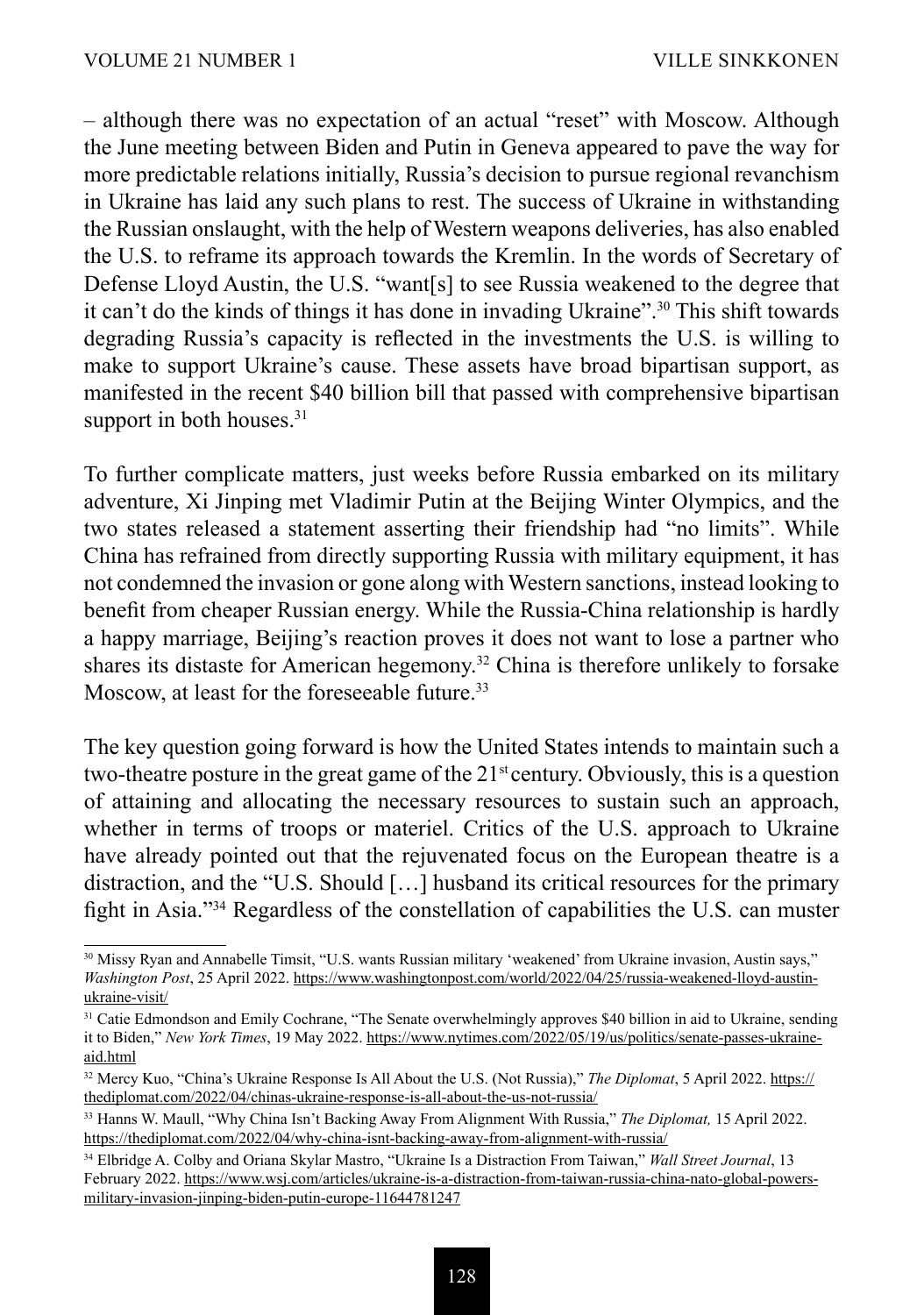– although there was no expectation of an actual "reset" with Moscow. Although the June meeting between Biden and Putin in Geneva appeared to pave the way for more predictable relations initially, Russia's decision to pursue regional revanchism in Ukraine has laid any such plans to rest. The success of Ukraine in withstanding the Russian onslaught, with the help of Western weapons deliveries, has also enabled the U.S. to reframe its approach towards the Kremlin. In the words of Secretary of Defense Lloyd Austin, the U.S. "want[s] to see Russia weakened to the degree that it can't do the kinds of things it has done in invading Ukraine".30 This shift towards degrading Russia's capacity is reflected in the investments the U.S. is willing to make to support Ukraine's cause. These assets have broad bipartisan support, as manifested in the recent \$40 billion bill that passed with comprehensive bipartisan support in both houses.<sup>31</sup>

To further complicate matters, just weeks before Russia embarked on its military adventure, Xi Jinping met Vladimir Putin at the Beijing Winter Olympics, and the two states released a statement asserting their friendship had "no limits". While China has refrained from directly supporting Russia with military equipment, it has not condemned the invasion or gone along with Western sanctions, instead looking to benefit from cheaper Russian energy. While the Russia-China relationship is hardly a happy marriage, Beijing's reaction proves it does not want to lose a partner who shares its distaste for American hegemony.<sup>32</sup> China is therefore unlikely to forsake Moscow, at least for the foreseeable future.<sup>33</sup>

The key question going forward is how the United States intends to maintain such a two-theatre posture in the great game of the  $21<sup>st</sup>$  century. Obviously, this is a question of attaining and allocating the necessary resources to sustain such an approach, whether in terms of troops or materiel. Critics of the U.S. approach to Ukraine have already pointed out that the rejuvenated focus on the European theatre is a distraction, and the "U.S. Should […] husband its critical resources for the primary fight in Asia."34 Regardless of the constellation of capabilities the U.S. can muster

<sup>&</sup>lt;sup>30</sup> Missy Ryan and Annabelle Timsit, "U.S. wants Russian military 'weakened' from Ukraine invasion, Austin says," *Washington Post*, 25 April 2022. [https://www.washingtonpost.com/world/2022/04/25/russia-weakened-lloyd-austin](about:blank)[ukraine-visit/](about:blank)

<sup>&</sup>lt;sup>31</sup> Catie Edmondson and Emily Cochrane, "The Senate overwhelmingly approves \$40 billion in aid to Ukraine, sending it to Biden," *New York Times*, 19 May 2022. [https://www.nytimes.com/2022/05/19/us/politics/senate-passes-ukraine](about:blank)[aid.html](about:blank)

<sup>32</sup> Mercy Kuo, "China's Ukraine Response Is All About the U.S. (Not Russia)," *The Diplomat*, 5 April 2022. [https://](about:blank) [thediplomat.com/2022/04/chinas-ukraine-response-is-all-about-the-us-not-russia/](about:blank)

<sup>33</sup> Hanns W. Maull, "Why China Isn't Backing Away From Alignment With Russia," *The Diplomat,* 15 April 2022. [https://thediplomat.com/2022/04/why-china-isnt-backing-away-from-alignment-with-russia/](about:blank)

<sup>34</sup> Elbridge A. Colby and Oriana Skylar Mastro, "Ukraine Is a Distraction From Taiwan," *Wall Street Journal*, 13 February 2022. [https://www.wsj.com/articles/ukraine-is-a-distraction-from-taiwan-russia-china-nato-global-powers](about:blank)[military-invasion-jinping-biden-putin-europe-11644781247](about:blank)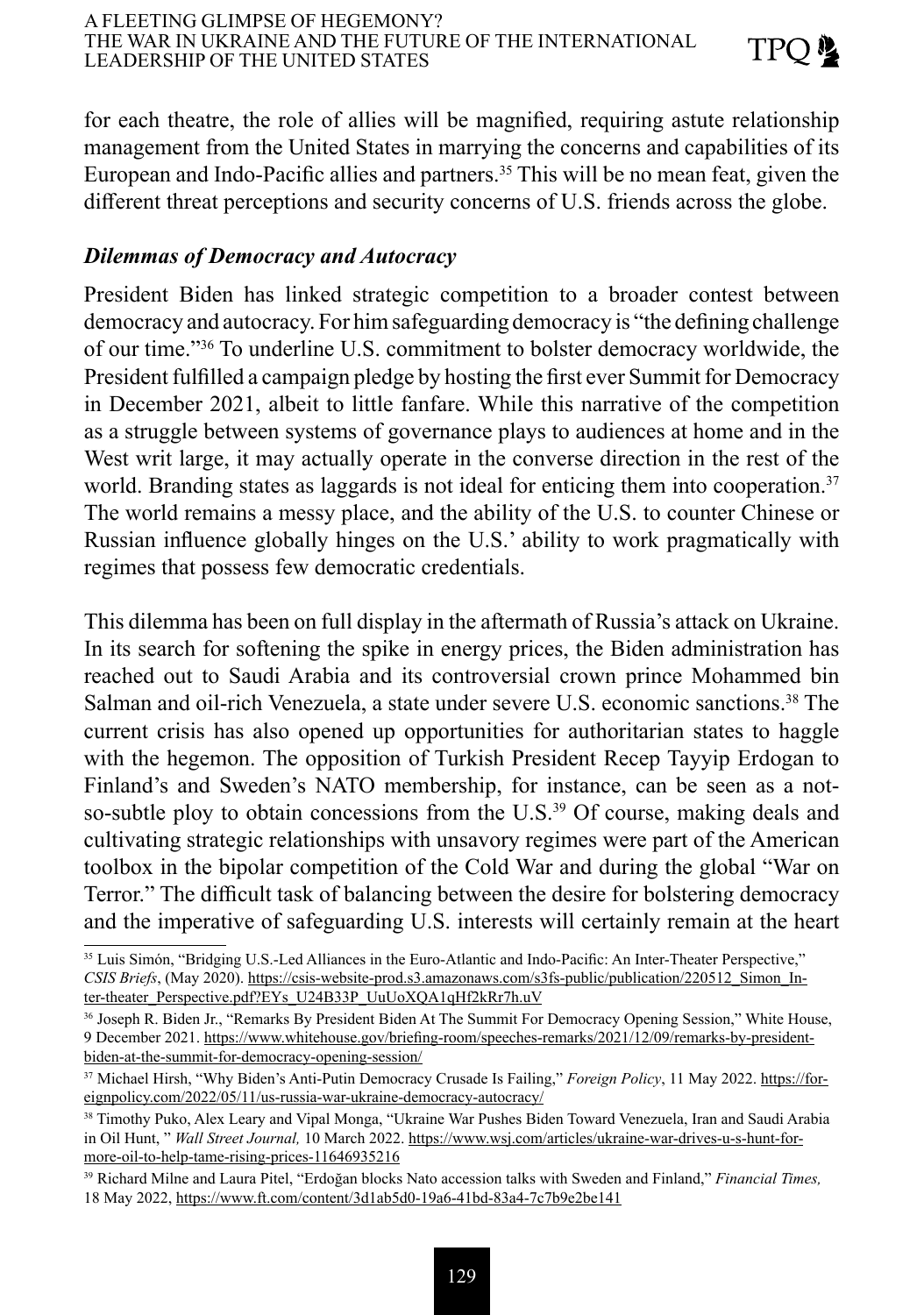for each theatre, the role of allies will be magnified, requiring astute relationship management from the United States in marrying the concerns and capabilities of its European and Indo-Pacific allies and partners.<sup>35</sup> This will be no mean feat, given the different threat perceptions and security concerns of U.S. friends across the globe.

### *Dilemmas of Democracy and Autocracy*

President Biden has linked strategic competition to a broader contest between democracy and autocracy. For him safeguarding democracy is "the defining challenge of our time."<sup>36</sup> To underline U.S. commitment to bolster democracy worldwide, the President fulfilled a campaign pledge by hosting the first ever Summit for Democracy in December 2021, albeit to little fanfare. While this narrative of the competition as a struggle between systems of governance plays to audiences at home and in the West writ large, it may actually operate in the converse direction in the rest of the world. Branding states as laggards is not ideal for enticing them into cooperation.<sup>37</sup> The world remains a messy place, and the ability of the U.S. to counter Chinese or Russian influence globally hinges on the U.S.' ability to work pragmatically with regimes that possess few democratic credentials.

This dilemma has been on full display in the aftermath of Russia's attack on Ukraine. In its search for softening the spike in energy prices, the Biden administration has reached out to Saudi Arabia and its controversial crown prince Mohammed bin Salman and oil-rich Venezuela, a state under severe U.S. economic sanctions.38 The current crisis has also opened up opportunities for authoritarian states to haggle with the hegemon. The opposition of Turkish President Recep Tayyip Erdogan to Finland's and Sweden's NATO membership, for instance, can be seen as a notso-subtle ploy to obtain concessions from the U.S.<sup>39</sup> Of course, making deals and cultivating strategic relationships with unsavory regimes were part of the American toolbox in the bipolar competition of the Cold War and during the global "War on Terror." The difficult task of balancing between the desire for bolstering democracy and the imperative of safeguarding U.S. interests will certainly remain at the heart

<sup>35</sup> Luis Simón, "Bridging U.S.-Led Alliances in the Euro-Atlantic and Indo-Pacific: An Inter-Theater Perspective," *CSIS Briefs*, (May 2020). [https://csis-website-prod.s3.amazonaws.com/s3fs-public/publication/220512\\_Simon\\_In](about:blank)[ter-theater\\_Perspective.pdf?EYs\\_U24B33P\\_UuUoXQA1qHf2kRr7h.uV](about:blank)

<sup>36</sup> Joseph R. Biden Jr., "Remarks By President Biden At The Summit For Democracy Opening Session," White House, 9 December 2021. [https://www.whitehouse.gov/briefing-room/speeches-remarks/2021/12/09/remarks-by-president](about:blank)[biden-at-the-summit-for-democracy-opening-session/](about:blank)

<sup>37</sup> Michael Hirsh, "Why Biden's Anti-Putin Democracy Crusade Is Failing," *Foreign Policy*, 11 May 2022. [https://for](about:blank)[eignpolicy.com/2022/05/11/us-russia-war-ukraine-democracy-autocracy/](about:blank)

<sup>38</sup> Timothy Puko, Alex Leary and Vipal Monga, "Ukraine War Pushes Biden Toward Venezuela, Iran and Saudi Arabia in Oil Hunt, " *Wall Street Journal,* 10 March 2022. [https://www.wsj.com/articles/ukraine-war-drives-u-s-hunt-for](about:blank)[more-oil-to-help-tame-rising-prices-11646935216](about:blank)

<sup>39</sup> Richard Milne and Laura Pitel, "Erdoğan blocks Nato accession talks with Sweden and Finland," *Financial Times,*  18 May 2022, [https://www.ft.com/content/3d1ab5d0-19a6-41bd-83a4-7c7b9e2be141](about:blank)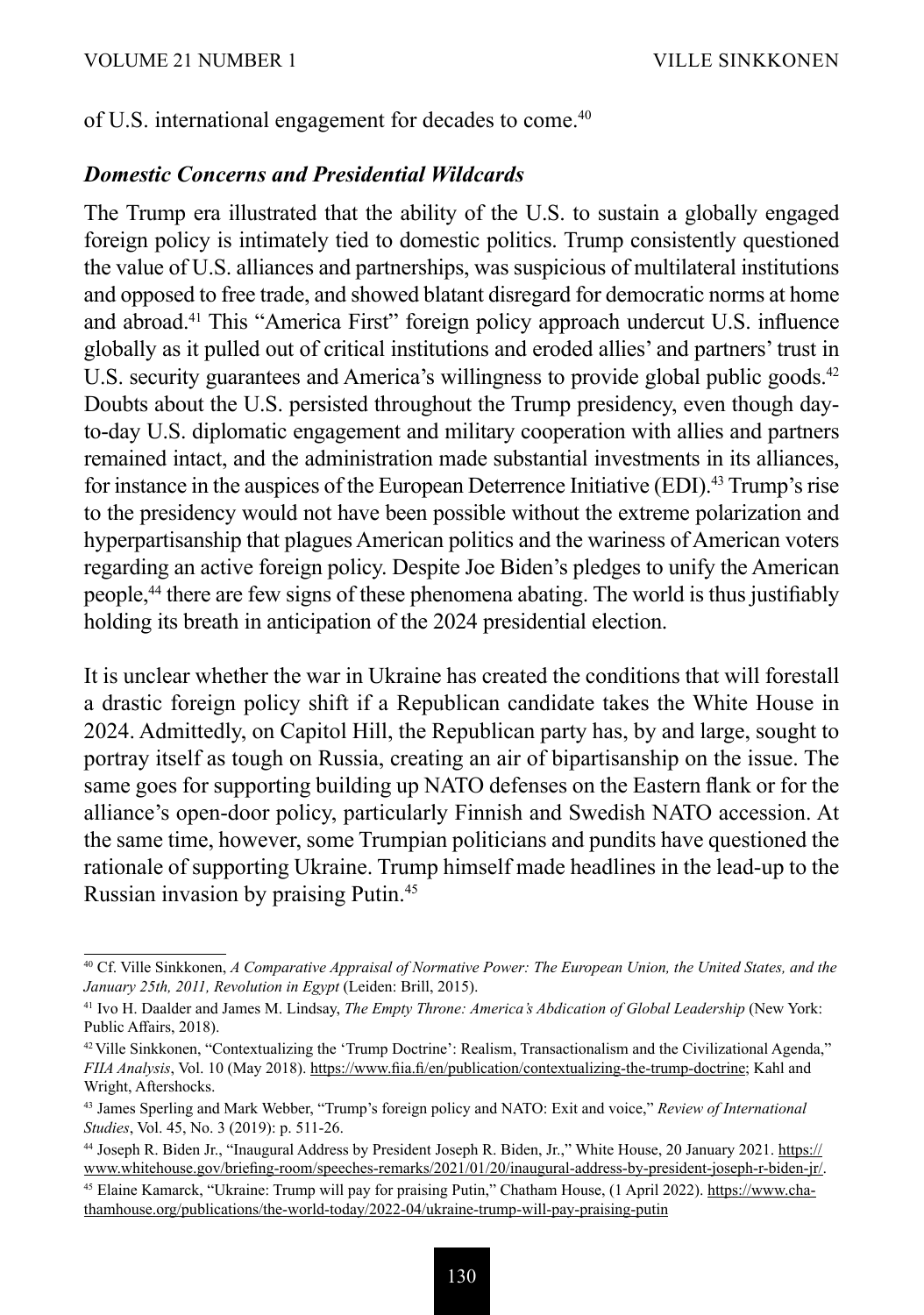of U.S. international engagement for decades to come.<sup>40</sup>

#### *Domestic Concerns and Presidential Wildcards*

The Trump era illustrated that the ability of the U.S. to sustain a globally engaged foreign policy is intimately tied to domestic politics. Trump consistently questioned the value of U.S. alliances and partnerships, was suspicious of multilateral institutions and opposed to free trade, and showed blatant disregard for democratic norms at home and abroad.41 This "America First" foreign policy approach undercut U.S. influence globally as it pulled out of critical institutions and eroded allies' and partners' trust in U.S. security guarantees and America's willingness to provide global public goods.<sup>42</sup> Doubts about the U.S. persisted throughout the Trump presidency, even though dayto-day U.S. diplomatic engagement and military cooperation with allies and partners remained intact, and the administration made substantial investments in its alliances, for instance in the auspices of the European Deterrence Initiative (EDI).43 Trump's rise to the presidency would not have been possible without the extreme polarization and hyperpartisanship that plagues American politics and the wariness of American voters regarding an active foreign policy. Despite Joe Biden's pledges to unify the American people,44 there are few signs of these phenomena abating. The world is thus justifiably holding its breath in anticipation of the 2024 presidential election.

It is unclear whether the war in Ukraine has created the conditions that will forestall a drastic foreign policy shift if a Republican candidate takes the White House in 2024. Admittedly, on Capitol Hill, the Republican party has, by and large, sought to portray itself as tough on Russia, creating an air of bipartisanship on the issue. The same goes for supporting building up NATO defenses on the Eastern flank or for the alliance's open-door policy, particularly Finnish and Swedish NATO accession. At the same time, however, some Trumpian politicians and pundits have questioned the rationale of supporting Ukraine. Trump himself made headlines in the lead-up to the Russian invasion by praising Putin.45

<sup>40</sup> Cf. Ville Sinkkonen, *A Comparative Appraisal of Normative Power: The European Union, the United States, and the January 25th, 2011, Revolution in Egypt* (Leiden: Brill, 2015).

<sup>&</sup>lt;sup>41</sup> Ivo H. Daalder and James M. Lindsay, *The Empty Throne: America's Abdication of Global Leadership* (New York: Public Affairs, 2018).

<sup>42</sup> Ville Sinkkonen, "Contextualizing the 'Trump Doctrine': Realism, Transactionalism and the Civilizational Agenda," *FIIA Analysis*, Vol. 10 (May 2018). [https://www.fiia.fi/en/publication/contextualizing-the-trump-doctrine;](about:blank) Kahl and Wright, Aftershocks.

<sup>43</sup> James Sperling and Mark Webber, "Trump's foreign policy and NATO: Exit and voice," *Review of International Studies*, Vol. 45, No. 3 (2019): p. 511-26.

<sup>44</sup> Joseph R. Biden Jr., "Inaugural Address by President Joseph R. Biden, Jr.," White House, 20 January 2021. [https://](about:blank) [www.whitehouse.gov/briefing-room/speeches-remarks/2021/01/20/inaugural-address-by-president-joseph-r-biden-jr/](about:blank).

<sup>45</sup> Elaine Kamarck, "Ukraine: Trump will pay for praising Putin," Chatham House, (1 April 2022). [https://www.cha](about:blank)[thamhouse.org/publications/the-world-today/2022-04/ukraine-trump-will-pay-praising-putin](about:blank)